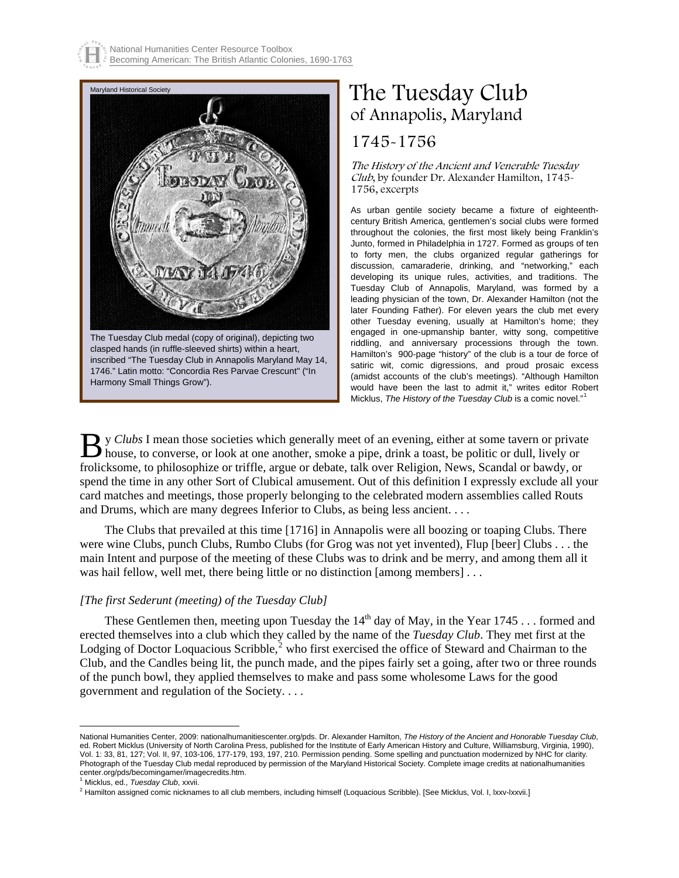

# The Tuesday Club of Annapolis, Maryland

## 1745-1756[\\*](#page-0-0)

The History of the Ancient and Venerable Tuesday Club, by founder Dr. Alexander Hamilton, 1745- 1756, excerpts

As urban gentile society became a fixture of eighteenthcentury British America, gentlemen's social clubs were formed throughout the colonies, the first most likely being Franklin's Junto, formed in Philadelphia in 1727. Formed as groups of ten to forty men, the clubs organized regular gatherings for discussion, camaraderie, drinking, and "networking," each developing its unique rules, activities, and traditions. The Tuesday Club of Annapolis, Maryland, was formed by a leading physician of the town, Dr. Alexander Hamilton (not the later Founding Father). For eleven years the club met every other Tuesday evening, usually at Hamilton's home; they engaged in one-upmanship banter, witty song, competitive riddling, and anniversary processions through the town. Hamilton's 900-page "history" of the club is a tour de force of satiric wit, comic digressions, and proud prosaic excess (amidst accounts of the club's meetings). "Although Hamilton would have been the last to admit it," writes editor Robert Micklus, *The History of the Tuesday Club* is a comic novel."

y *Clubs* I mean those societies which generally meet of an evening, either at some tavern or private By Clubs I mean those societies which generally meet of an evening, either at some tavern or private house, to converse, or look at one another, smoke a pipe, drink a toast, be politic or dull, lively or frolicksome, to philosophize or triffle, argue or debate, talk over Religion, News, Scandal or bawdy, or spend the time in any other Sort of Clubical amusement. Out of this definition I expressly exclude all your card matches and meetings, those properly belonging to the celebrated modern assemblies called Routs and Drums, which are many degrees Inferior to Clubs, as being less ancient. . . .

 The Clubs that prevailed at this time [1716] in Annapolis were all boozing or toaping Clubs. There were wine Clubs, punch Clubs, Rumbo Clubs (for Grog was not yet invented), Flup [beer] Clubs . . . the main Intent and purpose of the meeting of these Clubs was to drink and be merry, and among them all it was hail fellow, well met, there being little or no distinction [among members] . . .

#### *[The first Sederunt (meeting) of the Tuesday Club]*

These Gentlemen then, meeting upon Tuesday the  $14<sup>th</sup>$  day of May, in the Year 1745 . . . formed and erected themselves into a club which they called by the name of the *Tuesday Club*. They met first at the Lodging of Doctor Loquacious Scribble, $^2$  $^2$  who first exercised the office of Steward and Chairman to the Club, and the Candles being lit, the punch made, and the pipes fairly set a going, after two or three rounds of the punch bowl, they applied themselves to make and pass some wholesome Laws for the good government and regulation of the Society. . . .

 $\overline{a}$ 

<span id="page-0-0"></span>National Humanities Center, 2009: nationalhumanitiescenter.org/pds. Dr. Alexander Hamilton, The History of the Ancient and Honorable Tuesday Club, ed. Robert Micklus (University of North Carolina Press, published for the Institute of Early American History and Culture, Williamsburg, Virginia, 1990), Vol. 1: 33, 81, 127; Vol. II, 97, 103-106, 177-179, 193, 197, 210. Permission pending. Some spelling and punctuation modernized by NHC for clarity. Photograph of the Tuesday Club medal reproduced by permission of the Maryland Historical Society. Complete image credits at nationalhumanities center.org/pds/becomingamer/imagecredits.htm.<br><sup>1</sup> Micklus. ed.. Tuesdav Club. xxvii.

<span id="page-0-2"></span><span id="page-0-1"></span>

<sup>&</sup>lt;sup>1</sup> Micklus, ed., *Tuesday Club,* xxvii.<br><sup>2</sup> Hamilton assigned comic nicknames to all club members, including himself (Loquacious Scribble). [See Micklus, Vol. I, lxxv-lxxvii.]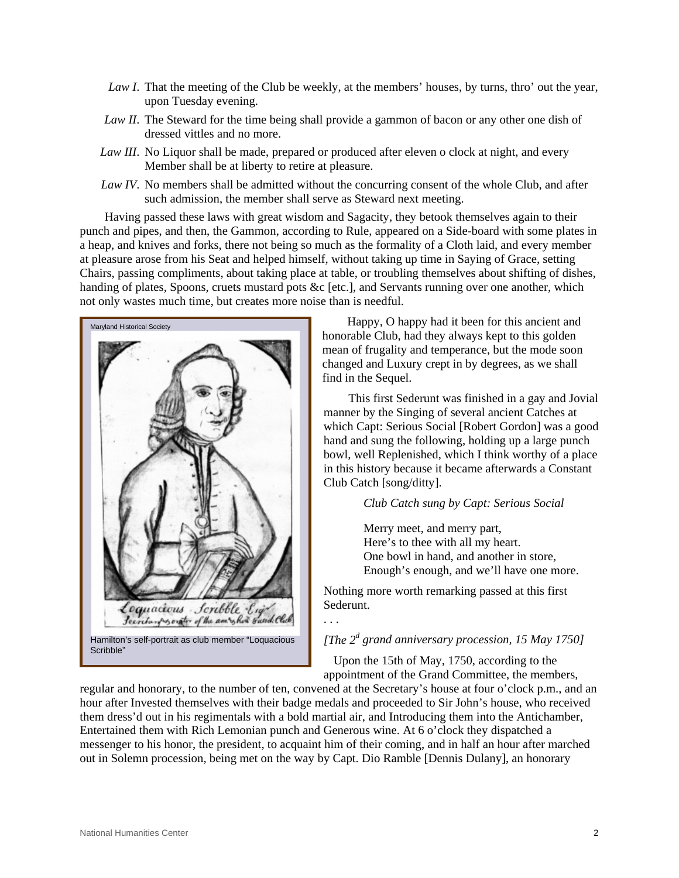- *Law I*. That the meeting of the Club be weekly, at the members' houses, by turns, thro' out the year, upon Tuesday evening.
- *Law II*. The Steward for the time being shall provide a gammon of bacon or any other one dish of dressed vittles and no more.
- *Law III*. No Liquor shall be made, prepared or produced after eleven o clock at night, and every Member shall be at liberty to retire at pleasure.
- *Law IV*. No members shall be admitted without the concurring consent of the whole Club, and after such admission, the member shall serve as Steward next meeting.

 Having passed these laws with great wisdom and Sagacity, they betook themselves again to their punch and pipes, and then, the Gammon, according to Rule, appeared on a Side-board with some plates in a heap, and knives and forks, there not being so much as the formality of a Cloth laid, and every member at pleasure arose from his Seat and helped himself, without taking up time in Saying of Grace, setting Chairs, passing compliments, about taking place at table, or troubling themselves about shifting of dishes, handing of plates, Spoons, cruets mustard pots &c [etc.], and Servants running over one another, which not only wastes much time, but creates more noise than is needful.



 Happy, O happy had it been for this ancient and honorable Club, had they always kept to this golden mean of frugality and temperance, but the mode soon changed and Luxury crept in by degrees, as we shall find in the Sequel.

 This first Sederunt was finished in a gay and Jovial manner by the Singing of several ancient Catches at which Capt: Serious Social [Robert Gordon] was a good hand and sung the following, holding up a large punch bowl, well Replenished, which I think worthy of a place in this history because it became afterwards a Constant Club Catch [song/ditty].

#### *Club Catch sung by Capt: Serious Social*

Merry meet, and merry part, Here's to thee with all my heart. One bowl in hand, and another in store, Enough's enough, and we'll have one more.

Nothing more worth remarking passed at this first Sederunt.

### *[The 2<sup>d</sup> grand anniversary procession, 15 May 1750]*

 Upon the 15th of May, 1750, according to the appointment of the Grand Committee, the members,

regular and honorary, to the number of ten, convened at the Secretary's house at four o'clock p.m., and an hour after Invested themselves with their badge medals and proceeded to Sir John's house, who received them dress'd out in his regimentals with a bold martial air, and Introducing them into the Antichamber, Entertained them with Rich Lemonian punch and Generous wine. At 6 o'clock they dispatched a messenger to his honor, the president, to acquaint him of their coming, and in half an hour after marched out in Solemn procession, being met on the way by Capt. Dio Ramble [Dennis Dulany], an honorary

. . .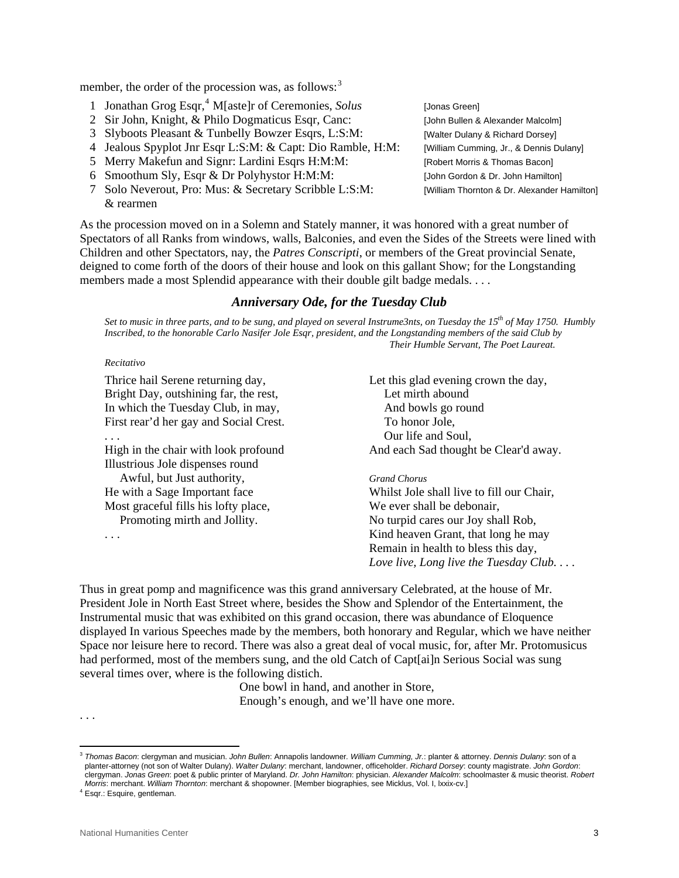member, the order of the procession was, as follows: $3$ 

- 1 Jonathan Grog Esqr,<sup>[4](#page-2-1)</sup> M[aste]r of Ceremonies, *Solus* [Jonas Green]
	- 2 Sir John, Knight, & Philo Dogmaticus Esqr, Canc: [John Bullen & Alexander Malcolm]
	- 3 Slyboots Pleasant & Tunbelly Bowzer Esqrs, L:S:M: [Walter Dulany & Richard Dorsey]
	- 4 Jealous Spyplot Jnr Esqr L:S:M: & Capt: Dio Ramble, H:M: [William Cumming, Jr., & Dennis Dulany]
	- 5 Merry Makefun and Signr: Lardini Esqrs H:M:M: [Robert Morris & Thomas Bacon]
	- 6 Smoothum Sly, Esqr & Dr Polyhystor H:M:M: [John Gordon & Dr. John Hamilton]
	- 7 Solo Neverout, Pro: Mus: & Secretary Scribble L:S:M: [William Thornton & Dr. Alexander Hamilton] & rearmen
- 

As the procession moved on in a Solemn and Stately manner, it was honored with a great number of Spectators of all Ranks from windows, walls, Balconies, and even the Sides of the Streets were lined with Children and other Spectators, nay, the *Patres Conscripti*, or members of the Great provincial Senate, deigned to come forth of the doors of their house and look on this gallant Show; for the Longstanding members made a most Splendid appearance with their double gilt badge medals. . . .

#### *Anniversary Ode, for the Tuesday Club*

Set to music in three parts, and to be sung, and played on several Instrume3nts, on Tuesday the 15<sup>th</sup> of May 1750. Humbly *Inscribed, to the honorable Carlo Nasifer Jole Esqr, president, and the Longstanding members of the said Club by Their Humble Servant, The Poet Laureat.* 

#### *Recitativo*

Thrice hail Serene returning day, Let this glad evening crown the day, Bright Day, outshining far, the rest, Let mirth abound In which the Tuesday Club, in may, And bowls go round First rear'd her gay and Social Crest. To honor Jole,

Illustrious Jole dispenses round Awful, but Just authority, *Grand Chorus* Most graceful fills his lofty place, We ever shall be debonair,

... Our life and Soul, High in the chair with look profound And each Sad thought be Clear'd away.

He with a Sage Important face Whilst Jole shall live to fill our Chair, Promoting mirth and Jollity. No turpid cares our Joy shall Rob, . . . Kind heaven Grant, that long he may Remain in health to bless this day, *Love live, Long live the Tuesday Club. . . .* 

Thus in great pomp and magnificence was this grand anniversary Celebrated, at the house of Mr. President Jole in North East Street where, besides the Show and Splendor of the Entertainment, the Instrumental music that was exhibited on this grand occasion, there was abundance of Eloquence displayed In various Speeches made by the members, both honorary and Regular, which we have neither Space nor leisure here to record. There was also a great deal of vocal music, for, after Mr. Protomusicus had performed, most of the members sung, and the old Catch of Capt[ai]n Serious Social was sung several times over, where is the following distich.

> One bowl in hand, and another in Store, Enough's enough, and we'll have one more.

. . .

 $\overline{a}$ 

<span id="page-2-0"></span><sup>3</sup> *Thomas Bacon*: clergyman and musician. *John Bullen*: Annapolis landowner*. William Cumming, Jr.*: planter & attorney. *Dennis Dulany*: son of a planter-attorney (not son of Walter Dulany). *Walter Dulany*: merchant, landowner, officeholder. *Richard Dorsey*: county magistrate. *John Gordon*: clergyman. *Jonas Green*: poet & public printer of Maryland. *Dr. John Hamilton*: physician. *Alexander Malcolm*: schoolmaster & music theorist. *Robert Morris*: merchant. *William Thornton*: merchant & shopowner. [Member biographies, see Micklus, Vol. I, lxxix-cv.] 4

<span id="page-2-1"></span>Esqr.: Esquire, gentleman.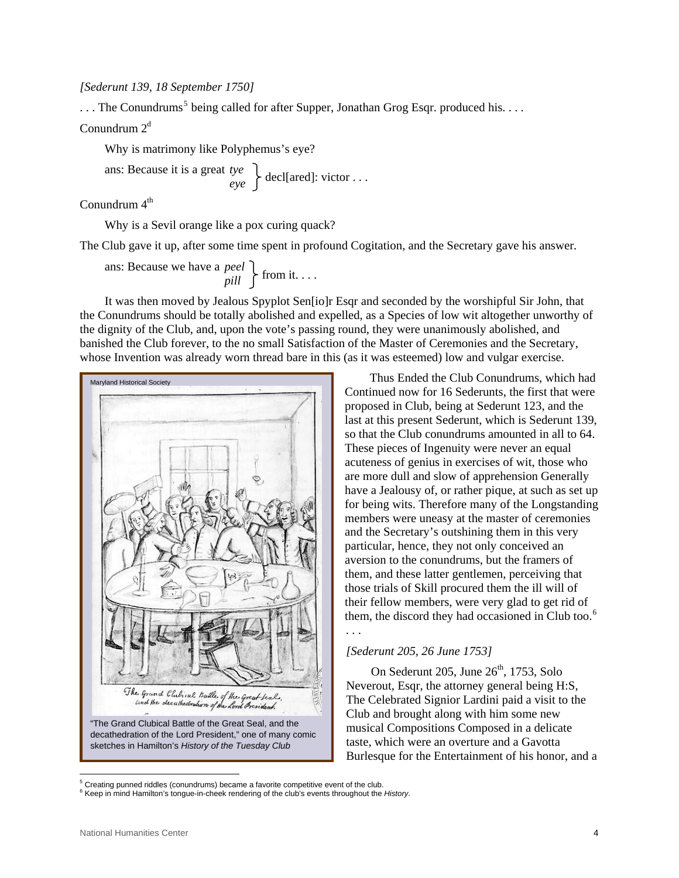#### *[Sederunt 139, 18 September 1750]*

 $\dots$  The Conundrums<sup>[5](#page-3-0)</sup> being called for after Supper, Jonathan Grog Esqr. produced his.  $\dots$ 

Conundrum  $2<sup>d</sup>$ 

Why is matrimony like Polyphemus's eye?

ans: Because it is a great *tye*  $\left\{\begin{array}{c} \text{dec} \\ \text{dec} \end{array}\right\}$  decl[ared]: victor ...

Conundrum 4<sup>th</sup>

Why is a Sevil orange like a pox curing quack?

The Club gave it up, after some time spent in profound Cogitation, and the Secretary gave his answer.

ans: Because we have a *peel*  $\left\{\begin{array}{c} \text{from it.} \dots \\ \text{in } \end{array}\right\}$ 

 It was then moved by Jealous Spyplot Sen[io]r Esqr and seconded by the worshipful Sir John, that the Conundrums should be totally abolished and expelled, as a Species of low wit altogether unworthy of the dignity of the Club, and, upon the vote's passing round, they were unanimously abolished, and banished the Club forever, to the no small Satisfaction of the Master of Ceremonies and the Secretary, whose Invention was already worn thread bare in this (as it was esteemed) low and vulgar exercise.



 Thus Ended the Club Conundrums, which had Continued now for 16 Sederunts, the first that were proposed in Club, being at Sederunt 123, and the last at this present Sederunt, which is Sederunt 139, so that the Club conundrums amounted in all to 64. These pieces of Ingenuity were never an equal acuteness of genius in exercises of wit, those who are more dull and slow of apprehension Generally have a Jealousy of, or rather pique, at such as set up for being wits. Therefore many of the Longstanding members were uneasy at the master of ceremonies and the Secretary's outshining them in this very particular, hence, they not only conceived an aversion to the conundrums, but the framers of them, and these latter gentlemen, perceiving that those trials of Skill procured them the ill will of their fellow members, were very glad to get rid of them, the discord they had occasioned in Club too.<sup>[6](#page-3-1)</sup> *. . .* 

#### *[Sederunt 205, 26 June 1753]*

On Sederunt 205, June  $26<sup>th</sup>$ , 1753, Solo Neverout, Esqr, the attorney general being H:S, The Celebrated Signior Lardini paid a visit to the Club and brought along with him some new musical Compositions Composed in a delicate taste, which were an overture and a Gavotta Burlesque for the Entertainment of his honor, and a

 $\overline{a}$ 

<span id="page-3-0"></span><sup>&</sup>lt;sup>5</sup> Creating punned riddles (conundrums) became a favorite competitive event of the club.

<span id="page-3-1"></span><sup>6</sup> Keep in mind Hamilton's tongue-in-cheek rendering of the club's events throughout the *History*.